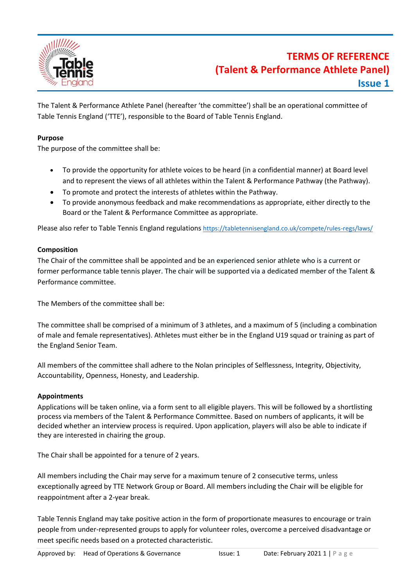

The Talent & Performance Athlete Panel (hereafter 'the committee') shall be an operational committee of Table Tennis England ('TTE'), responsible to the Board of Table Tennis England.

## **Purpose**

The purpose of the committee shall be:

- To provide the opportunity for athlete voices to be heard (in a confidential manner) at Board level and to represent the views of all athletes within the Talent & Performance Pathway (the Pathway).
- To promote and protect the interests of athletes within the Pathway.
- To provide anonymous feedback and make recommendations as appropriate, either directly to the Board or the Talent & Performance Committee as appropriate.

Please also refer to Table Tennis England regulations <https://tabletennisengland.co.uk/compete/rules-regs/laws/>

# **Composition**

The Chair of the committee shall be appointed and be an experienced senior athlete who is a current or former performance table tennis player. The chair will be supported via a dedicated member of the Talent & Performance committee.

The Members of the committee shall be:

The committee shall be comprised of a minimum of 3 athletes, and a maximum of 5 (including a combination of male and female representatives). Athletes must either be in the England U19 squad or training as part of the England Senior Team.

All members of the committee shall adhere to the Nolan principles of Selflessness, Integrity, Objectivity, Accountability, Openness, Honesty, and Leadership.

### **Appointments**

Applications will be taken online, via a form sent to all eligible players. This will be followed by a shortlisting process via members of the Talent & Performance Committee. Based on numbers of applicants, it will be decided whether an interview process is required. Upon application, players will also be able to indicate if they are interested in chairing the group.

The Chair shall be appointed for a tenure of 2 years.

All members including the Chair may serve for a maximum tenure of 2 consecutive terms, unless exceptionally agreed by TTE Network Group or Board. All members including the Chair will be eligible for reappointment after a 2-year break.

Table Tennis England may take positive action in the form of proportionate measures to encourage or train people from under-represented groups to apply for volunteer roles, overcome a perceived disadvantage or meet specific needs based on a protected characteristic.